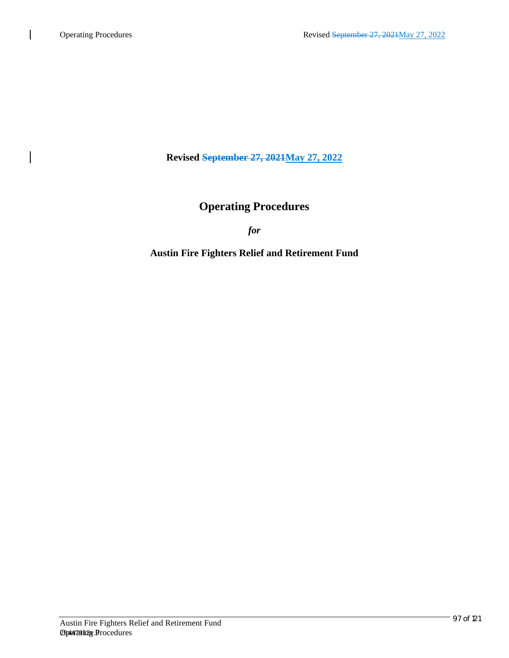**Revised September 27, 2021May 27, 2022**

# **Operating Procedures**

*for*

# **Austin Fire Fighters Relief and Retirement Fund**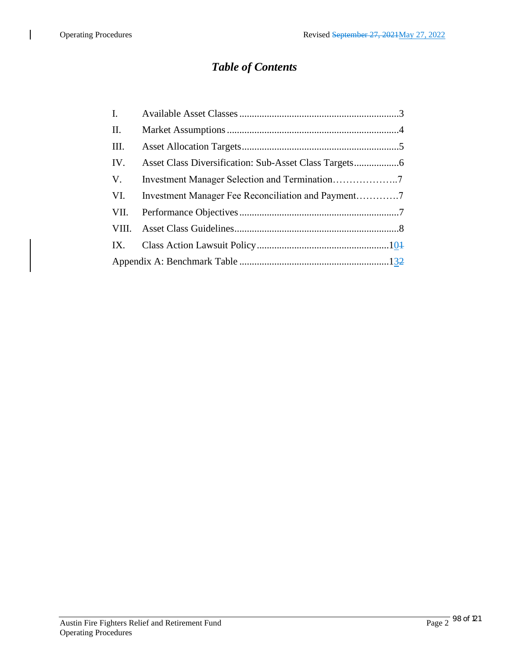$\overline{\phantom{a}}$ 

# *Table of Contents*

| $\mathbf{I}$ |  |  |
|--------------|--|--|
| П.           |  |  |
| Ш.           |  |  |
| IV.          |  |  |
| V.           |  |  |
| VI.          |  |  |
| VII.         |  |  |
| VIII.        |  |  |
| IX.          |  |  |
|              |  |  |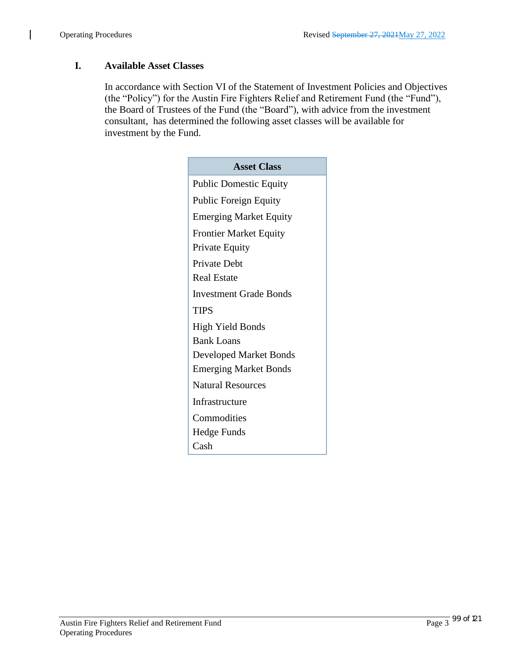$\overline{\phantom{a}}$ 

# **I. Available Asset Classes**

In accordance with Section VI of the Statement of Investment Policies and Objectives (the "Policy") for the Austin Fire Fighters Relief and Retirement Fund (the "Fund"), the Board of Trustees of the Fund (the "Board"), with advice from the investment consultant, has determined the following asset classes will be available for investment by the Fund.

| <b>Asset Class</b>            |
|-------------------------------|
| <b>Public Domestic Equity</b> |
| <b>Public Foreign Equity</b>  |
| <b>Emerging Market Equity</b> |
| <b>Frontier Market Equity</b> |
| Private Equity                |
| <b>Private Debt</b>           |
| <b>Real Estate</b>            |
| <b>Investment Grade Bonds</b> |
| <b>TIPS</b>                   |
| <b>High Yield Bonds</b>       |
| <b>Bank Loans</b>             |
| <b>Developed Market Bonds</b> |
| <b>Emerging Market Bonds</b>  |
| <b>Natural Resources</b>      |
| Infrastructure                |
| Commodities                   |
| <b>Hedge Funds</b>            |
| Cash                          |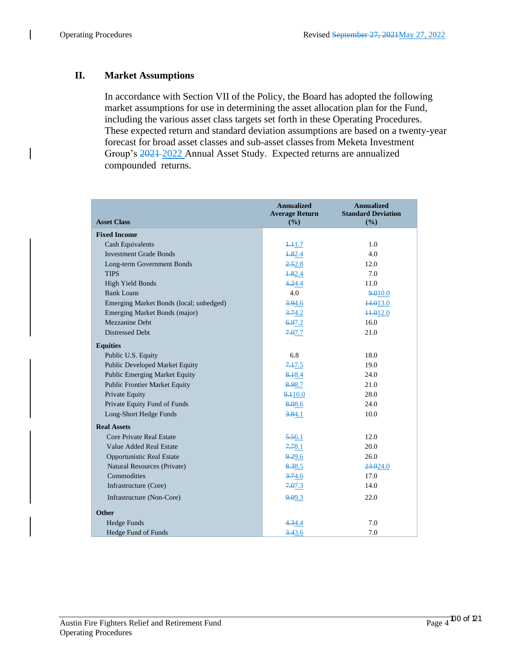# **II. Market Assumptions**

In accordance with Section VII of the Policy, the Board has adopted the following market assumptions for use in determining the asset allocation plan for the Fund, including the various asset class targets set forth in these Operating Procedures. These expected return and standard deviation assumptions are based on a twenty-year forecast for broad asset classes and sub-asset classesfrom Meketa Investment Group's 2021 2022 Annual Asset Study. Expected returns are annualized compounded returns.

| <b>Asset Class</b>                      | <b>Annualized</b><br><b>Average Return</b><br>(%) | <b>Annualized</b><br><b>Standard Deviation</b><br>(%) |
|-----------------------------------------|---------------------------------------------------|-------------------------------------------------------|
| <b>Fixed Income</b>                     |                                                   |                                                       |
| <b>Cash Equivalents</b>                 | 4.41.7                                            | 1.0                                                   |
| <b>Investment Grade Bonds</b>           | 4.82.4                                            | 4.0                                                   |
| Long-term Government Bonds              | 2.52.8                                            | 12.0                                                  |
| <b>TIPS</b>                             | 4.82.4                                            | 7.0                                                   |
| High Yield Bonds                        | 4.24.4                                            | 11.0                                                  |
| <b>Bank Loans</b>                       | 4.0                                               | 9.010.0                                               |
| Emerging Market Bonds (local; unhedged) | 3.94.6                                            | 44.013.0                                              |
| Emerging Market Bonds (major)           | 3.74.2                                            | 11.012.0                                              |
| Mezzanine Debt                          | 6.97.2                                            | 16.0                                                  |
| <b>Distressed Debt</b>                  | 7.07.7                                            | 21.0                                                  |
| <b>Equities</b>                         |                                                   |                                                       |
| Public U.S. Equity                      | 6.8                                               | 18.0                                                  |
| Public Developed Market Equity          | 7.17.5                                            | 19.0                                                  |
| <b>Public Emerging Market Equity</b>    | 8.18.4                                            | 24.0                                                  |
| <b>Public Frontier Market Equity</b>    | 8.98.7                                            | 21.0                                                  |
| Private Equity                          | 9.10.0                                            | 28.0                                                  |
| Private Equity Fund of Funds            | 8.08.6                                            | 24.0                                                  |
| Long-Short Hedge Funds                  | 3.84.1                                            | 10.0                                                  |
| <b>Real Assets</b>                      |                                                   |                                                       |
| Core Private Real Estate                | 5.56.1                                            | 12.0                                                  |
| Value Added Real Estate                 | 7.78.1                                            | 20.0                                                  |
| <b>Opportunistic Real Estate</b>        | 9.29.6                                            | 26.0                                                  |
| Natural Resources (Private)             | 8.38.5                                            | 23.024.0                                              |
| Commodities                             | 3.74.6                                            | 17.0                                                  |
| Infrastructure (Core)                   | 7.07.3                                            | 14.0                                                  |
| Infrastructure (Non-Core)               | 9.09.3                                            | 22.0                                                  |
| <b>Other</b>                            |                                                   |                                                       |
| Hedge Funds                             | 4.34.4                                            | 7.0                                                   |
| Hedge Fund of Funds                     | 3.43.6                                            | 7.0                                                   |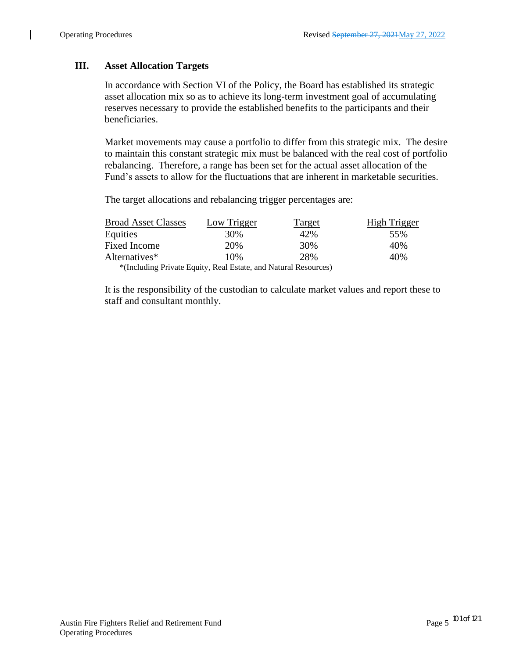### **III. Asset Allocation Targets**

In accordance with Section VI of the Policy, the Board has established its strategic asset allocation mix so as to achieve its long-term investment goal of accumulating reserves necessary to provide the established benefits to the participants and their beneficiaries.

Market movements may cause a portfolio to differ from this strategic mix. The desire to maintain this constant strategic mix must be balanced with the real cost of portfolio rebalancing. Therefore, a range has been set for the actual asset allocation of the Fund's assets to allow for the fluctuations that are inherent in marketable securities.

The target allocations and rebalancing trigger percentages are:

| <b>Broad Asset Classes</b> | Low Trigger                                                     | <b>Target</b> | High Trigger |
|----------------------------|-----------------------------------------------------------------|---------------|--------------|
| Equities                   | 30%                                                             | 42%           | 55%          |
| <b>Fixed Income</b>        | 20%                                                             | 30%           | 40%          |
| Alternatives*              | 10%                                                             | 28%           | 40%          |
|                            | *(Including Private Equity, Real Estate, and Natural Resources) |               |              |

It is the responsibility of the custodian to calculate market values and report these to staff and consultant monthly.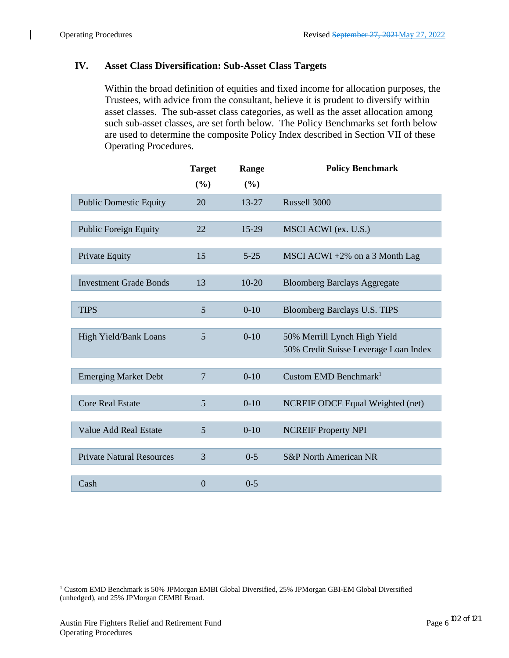#### **IV. Asset Class Diversification: Sub-Asset Class Targets**

Within the broad definition of equities and fixed income for allocation purposes, the Trustees, with advice from the consultant, believe it is prudent to diversify within asset classes. The sub-asset class categories, as well as the asset allocation among such sub-asset classes, are set forth below. The Policy Benchmarks set forth below are used to determine the composite Policy Index described in Section VII of these Operating Procedures.

|                                  | <b>Target</b>  | Range     | <b>Policy Benchmark</b>                 |
|----------------------------------|----------------|-----------|-----------------------------------------|
|                                  | (%)            | (%)       |                                         |
| <b>Public Domestic Equity</b>    | 20             | 13-27     | Russell 3000                            |
|                                  |                |           |                                         |
| <b>Public Foreign Equity</b>     | 22             | 15-29     | MSCI ACWI (ex. U.S.)                    |
|                                  |                |           |                                         |
| Private Equity                   | 15             | $5 - 25$  | MSCI ACWI $+2\%$ on a 3 Month Lag       |
|                                  |                |           |                                         |
| <b>Investment Grade Bonds</b>    | 13             | $10 - 20$ | <b>Bloomberg Barclays Aggregate</b>     |
|                                  |                |           |                                         |
| <b>TIPS</b>                      | 5              | $0 - 10$  | Bloomberg Barclays U.S. TIPS            |
|                                  |                |           |                                         |
| High Yield/Bank Loans            | 5              | $0 - 10$  | 50% Merrill Lynch High Yield            |
|                                  |                |           | 50% Credit Suisse Leverage Loan Index   |
|                                  |                |           |                                         |
| <b>Emerging Market Debt</b>      | $\overline{7}$ | $0-10$    | Custom EMD Benchmark <sup>1</sup>       |
|                                  |                |           |                                         |
| <b>Core Real Estate</b>          | 5              | $0 - 10$  | <b>NCREIF ODCE Equal Weighted (net)</b> |
|                                  |                |           |                                         |
| <b>Value Add Real Estate</b>     | 5              | $0 - 10$  | <b>NCREIF Property NPI</b>              |
|                                  |                |           |                                         |
| <b>Private Natural Resources</b> | 3              | $0 - 5$   | <b>S&amp;P</b> North American NR        |
|                                  |                |           |                                         |
| Cash                             | $\overline{0}$ | $0 - 5$   |                                         |

<sup>1</sup> Custom EMD Benchmark is 50% JPMorgan EMBI Global Diversified, 25% JPMorgan GBI-EM Global Diversified (unhedged), and 25% JPMorgan CEMBI Broad.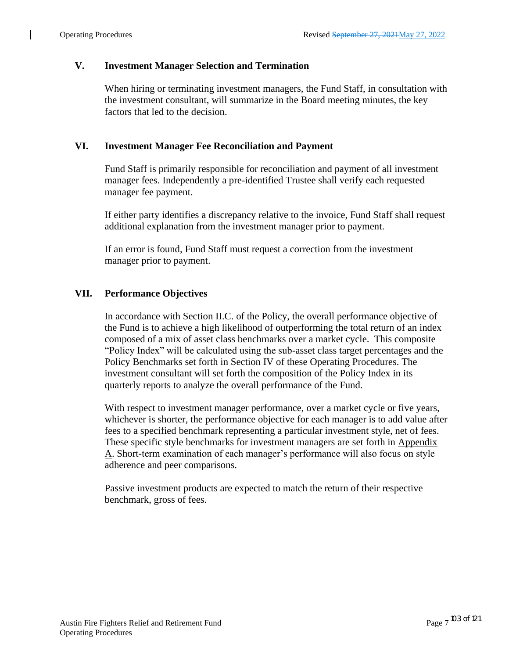#### **V. Investment Manager Selection and Termination**

When hiring or terminating investment managers, the Fund Staff, in consultation with the investment consultant, will summarize in the Board meeting minutes, the key factors that led to the decision.

#### **VI. Investment Manager Fee Reconciliation and Payment**

Fund Staff is primarily responsible for reconciliation and payment of all investment manager fees. Independently a pre-identified Trustee shall verify each requested manager fee payment.

If either party identifies a discrepancy relative to the invoice, Fund Staff shall request additional explanation from the investment manager prior to payment.

If an error is found, Fund Staff must request a correction from the investment manager prior to payment.

#### **VII. Performance Objectives**

In accordance with Section II.C. of the Policy, the overall performance objective of the Fund is to achieve a high likelihood of outperforming the total return of an index composed of a mix of asset class benchmarks over a market cycle. This composite "Policy Index" will be calculated using the sub-asset class target percentages and the Policy Benchmarks set forth in Section IV of these Operating Procedures. The investment consultant will set forth the composition of the Policy Index in its quarterly reports to analyze the overall performance of the Fund.

With respect to investment manager performance, over a market cycle or five years, whichever is shorter, the performance objective for each manager is to add value after fees to a specified benchmark representing a particular investment style, net of fees. These specific style benchmarks for investment managers are set forth in Appendix A. Short-term examination of each manager's performance will also focus on style adherence and peer comparisons.

Passive investment products are expected to match the return of their respective benchmark, gross of fees.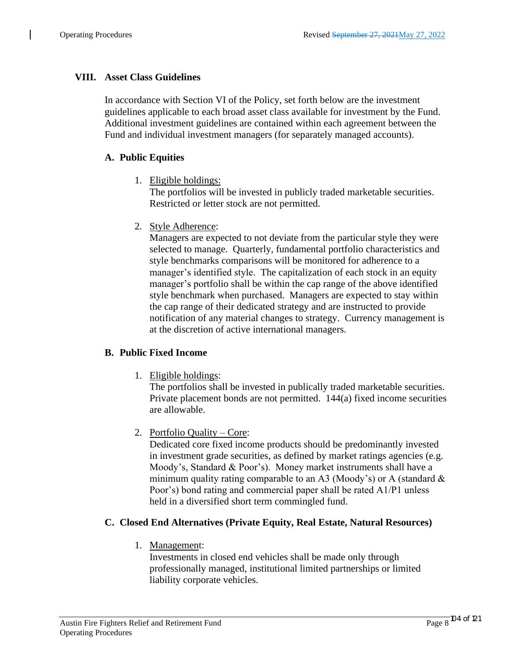# **VIII. Asset Class Guidelines**

In accordance with Section VI of the Policy, set forth below are the investment guidelines applicable to each broad asset class available for investment by the Fund. Additional investment guidelines are contained within each agreement between the Fund and individual investment managers (for separately managed accounts).

## **A. Public Equities**

1. Eligible holdings:

The portfolios will be invested in publicly traded marketable securities. Restricted or letter stock are not permitted.

2. Style Adherence:

Managers are expected to not deviate from the particular style they were selected to manage. Quarterly, fundamental portfolio characteristics and style benchmarks comparisons will be monitored for adherence to a manager's identified style. The capitalization of each stock in an equity manager's portfolio shall be within the cap range of the above identified style benchmark when purchased. Managers are expected to stay within the cap range of their dedicated strategy and are instructed to provide notification of any material changes to strategy. Currency management is at the discretion of active international managers.

### **B. Public Fixed Income**

1. Eligible holdings:

The portfolios shall be invested in publically traded marketable securities. Private placement bonds are not permitted. 144(a) fixed income securities are allowable.

2. Portfolio Quality – Core:

Dedicated core fixed income products should be predominantly invested in investment grade securities, as defined by market ratings agencies (e.g. Moody's, Standard & Poor's). Money market instruments shall have a minimum quality rating comparable to an A3 (Moody's) or A (standard  $\&$ Poor's) bond rating and commercial paper shall be rated A1/P1 unless held in a diversified short term commingled fund.

### **C. Closed End Alternatives (Private Equity, Real Estate, Natural Resources)**

1. Management:

Investments in closed end vehicles shall be made only through professionally managed, institutional limited partnerships or limited liability corporate vehicles.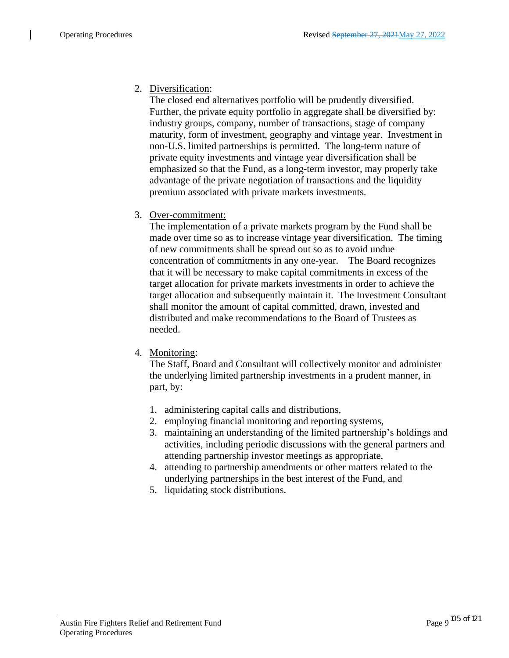# 2. Diversification:

The closed end alternatives portfolio will be prudently diversified. Further, the private equity portfolio in aggregate shall be diversified by: industry groups, company, number of transactions, stage of company maturity, form of investment, geography and vintage year. Investment in non-U.S. limited partnerships is permitted. The long-term nature of private equity investments and vintage year diversification shall be emphasized so that the Fund, as a long-term investor, may properly take advantage of the private negotiation of transactions and the liquidity premium associated with private markets investments.

# 3. Over-commitment:

The implementation of a private markets program by the Fund shall be made over time so as to increase vintage year diversification. The timing of new commitments shall be spread out so as to avoid undue concentration of commitments in any one-year. The Board recognizes that it will be necessary to make capital commitments in excess of the target allocation for private markets investments in order to achieve the target allocation and subsequently maintain it. The Investment Consultant shall monitor the amount of capital committed, drawn, invested and distributed and make recommendations to the Board of Trustees as needed.

### 4. Monitoring:

The Staff, Board and Consultant will collectively monitor and administer the underlying limited partnership investments in a prudent manner, in part, by:

- 1. administering capital calls and distributions,
- 2. employing financial monitoring and reporting systems,
- 3. maintaining an understanding of the limited partnership's holdings and activities, including periodic discussions with the general partners and attending partnership investor meetings as appropriate,
- 4. attending to partnership amendments or other matters related to the underlying partnerships in the best interest of the Fund, and
- 5. liquidating stock distributions.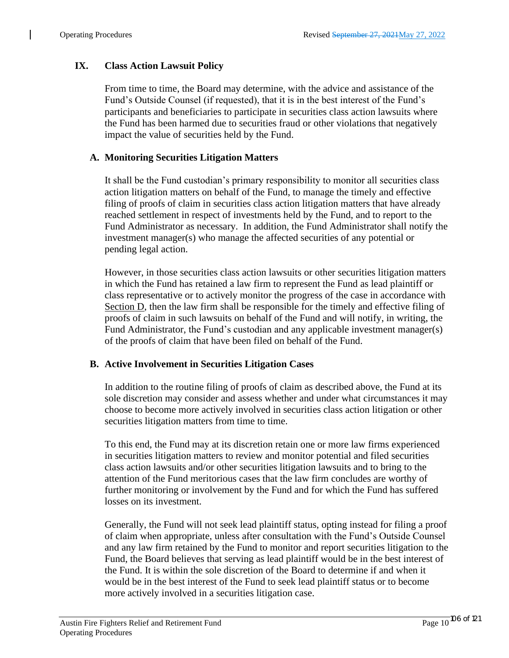### **IX. Class Action Lawsuit Policy**

From time to time, the Board may determine, with the advice and assistance of the Fund's Outside Counsel (if requested), that it is in the best interest of the Fund's participants and beneficiaries to participate in securities class action lawsuits where the Fund has been harmed due to securities fraud or other violations that negatively impact the value of securities held by the Fund.

#### **A. Monitoring Securities Litigation Matters**

It shall be the Fund custodian's primary responsibility to monitor all securities class action litigation matters on behalf of the Fund, to manage the timely and effective filing of proofs of claim in securities class action litigation matters that have already reached settlement in respect of investments held by the Fund, and to report to the Fund Administrator as necessary. In addition, the Fund Administrator shall notify the investment manager(s) who manage the affected securities of any potential or pending legal action.

However, in those securities class action lawsuits or other securities litigation matters in which the Fund has retained a law firm to represent the Fund as lead plaintiff or class representative or to actively monitor the progress of the case in accordance with Section D, then the law firm shall be responsible for the timely and effective filing of proofs of claim in such lawsuits on behalf of the Fund and will notify, in writing, the Fund Administrator, the Fund's custodian and any applicable investment manager(s) of the proofs of claim that have been filed on behalf of the Fund.

#### **B. Active Involvement in Securities Litigation Cases**

In addition to the routine filing of proofs of claim as described above, the Fund at its sole discretion may consider and assess whether and under what circumstances it may choose to become more actively involved in securities class action litigation or other securities litigation matters from time to time.

To this end, the Fund may at its discretion retain one or more law firms experienced in securities litigation matters to review and monitor potential and filed securities class action lawsuits and/or other securities litigation lawsuits and to bring to the attention of the Fund meritorious cases that the law firm concludes are worthy of further monitoring or involvement by the Fund and for which the Fund has suffered losses on its investment.

Generally, the Fund will not seek lead plaintiff status, opting instead for filing a proof of claim when appropriate, unless after consultation with the Fund's Outside Counsel and any law firm retained by the Fund to monitor and report securities litigation to the Fund, the Board believes that serving as lead plaintiff would be in the best interest of the Fund. It is within the sole discretion of the Board to determine if and when it would be in the best interest of the Fund to seek lead plaintiff status or to become more actively involved in a securities litigation case.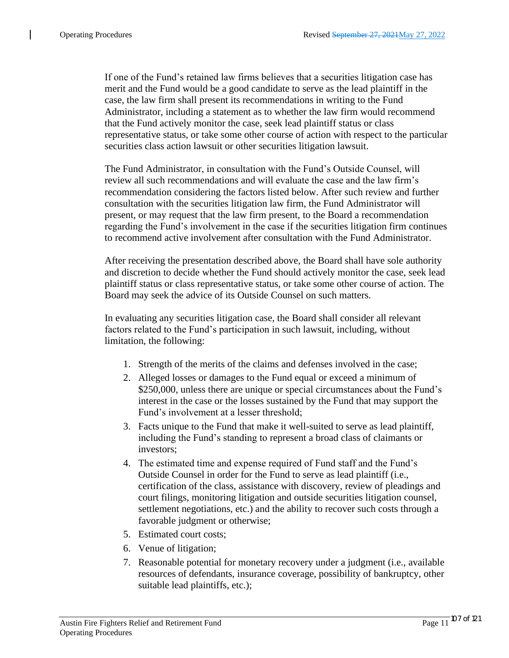If one of the Fund's retained law firms believes that a securities litigation case has merit and the Fund would be a good candidate to serve as the lead plaintiff in the case, the law firm shall present its recommendations in writing to the Fund Administrator, including a statement as to whether the law firm would recommend that the Fund actively monitor the case, seek lead plaintiff status or class representative status, or take some other course of action with respect to the particular securities class action lawsuit or other securities litigation lawsuit.

The Fund Administrator, in consultation with the Fund's Outside Counsel, will review all such recommendations and will evaluate the case and the law firm's recommendation considering the factors listed below. After such review and further consultation with the securities litigation law firm, the Fund Administrator will present, or may request that the law firm present, to the Board a recommendation regarding the Fund's involvement in the case if the securities litigation firm continues to recommend active involvement after consultation with the Fund Administrator.

After receiving the presentation described above, the Board shall have sole authority and discretion to decide whether the Fund should actively monitor the case, seek lead plaintiff status or class representative status, or take some other course of action. The Board may seek the advice of its Outside Counsel on such matters.

In evaluating any securities litigation case, the Board shall consider all relevant factors related to the Fund's participation in such lawsuit, including, without limitation, the following:

- 1. Strength of the merits of the claims and defenses involved in the case;
- 2. Alleged losses or damages to the Fund equal or exceed a minimum of \$250,000, unless there are unique or special circumstances about the Fund's interest in the case or the losses sustained by the Fund that may support the Fund's involvement at a lesser threshold;
- 3. Facts unique to the Fund that make it well-suited to serve as lead plaintiff, including the Fund's standing to represent a broad class of claimants or investors;
- 4. The estimated time and expense required of Fund staff and the Fund's Outside Counsel in order for the Fund to serve as lead plaintiff (i.e., certification of the class, assistance with discovery, review of pleadings and court filings, monitoring litigation and outside securities litigation counsel, settlement negotiations, etc.) and the ability to recover such costs through a favorable judgment or otherwise;
- 5. Estimated court costs;
- 6. Venue of litigation;
- 7. Reasonable potential for monetary recovery under a judgment (i.e., available resources of defendants, insurance coverage, possibility of bankruptcy, other suitable lead plaintiffs, etc.);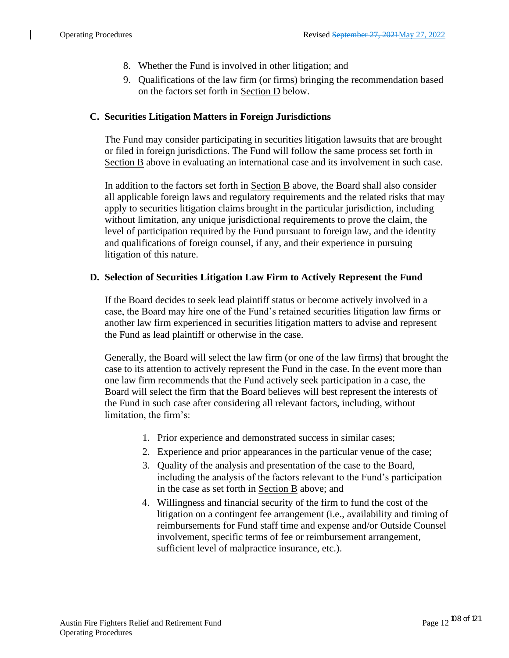- 8. Whether the Fund is involved in other litigation; and
- 9. Qualifications of the law firm (or firms) bringing the recommendation based on the factors set forth in Section D below.

#### **C. Securities Litigation Matters in Foreign Jurisdictions**

The Fund may consider participating in securities litigation lawsuits that are brought or filed in foreign jurisdictions. The Fund will follow the same process set forth in Section B above in evaluating an international case and its involvement in such case.

In addition to the factors set forth in Section B above, the Board shall also consider all applicable foreign laws and regulatory requirements and the related risks that may apply to securities litigation claims brought in the particular jurisdiction, including without limitation, any unique jurisdictional requirements to prove the claim, the level of participation required by the Fund pursuant to foreign law, and the identity and qualifications of foreign counsel, if any, and their experience in pursuing litigation of this nature.

#### **D. Selection of Securities Litigation Law Firm to Actively Represent the Fund**

If the Board decides to seek lead plaintiff status or become actively involved in a case, the Board may hire one of the Fund's retained securities litigation law firms or another law firm experienced in securities litigation matters to advise and represent the Fund as lead plaintiff or otherwise in the case.

Generally, the Board will select the law firm (or one of the law firms) that brought the case to its attention to actively represent the Fund in the case. In the event more than one law firm recommends that the Fund actively seek participation in a case, the Board will select the firm that the Board believes will best represent the interests of the Fund in such case after considering all relevant factors, including, without limitation, the firm's:

- 1. Prior experience and demonstrated success in similar cases;
- 2. Experience and prior appearances in the particular venue of the case;
- 3. Quality of the analysis and presentation of the case to the Board, including the analysis of the factors relevant to the Fund's participation in the case as set forth in Section B above; and
- 4. Willingness and financial security of the firm to fund the cost of the litigation on a contingent fee arrangement (i.e., availability and timing of reimbursements for Fund staff time and expense and/or Outside Counsel involvement, specific terms of fee or reimbursement arrangement, sufficient level of malpractice insurance, etc.).